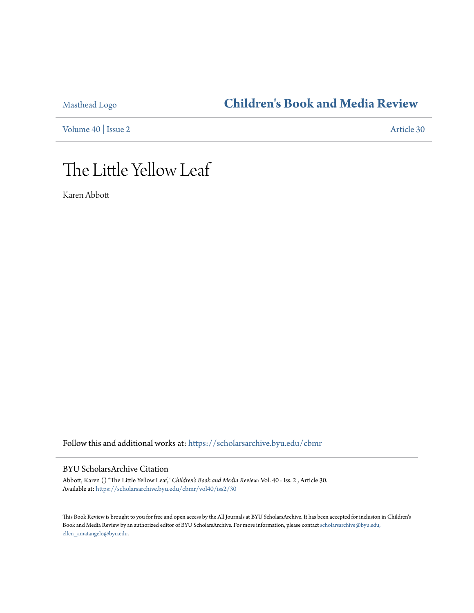# [Masthead Logo](http://home.byu.edu/home/?utm_source=scholarsarchive.byu.edu%2Fcbmr%2Fvol40%2Fiss2%2F30&utm_medium=PDF&utm_campaign=PDFCoverPages) **[Children's Book and Media Review](https://scholarsarchive.byu.edu/cbmr?utm_source=scholarsarchive.byu.edu%2Fcbmr%2Fvol40%2Fiss2%2F30&utm_medium=PDF&utm_campaign=PDFCoverPages)**

[Volume 40](https://scholarsarchive.byu.edu/cbmr/vol40?utm_source=scholarsarchive.byu.edu%2Fcbmr%2Fvol40%2Fiss2%2F30&utm_medium=PDF&utm_campaign=PDFCoverPages) | [Issue 2](https://scholarsarchive.byu.edu/cbmr/vol40/iss2?utm_source=scholarsarchive.byu.edu%2Fcbmr%2Fvol40%2Fiss2%2F30&utm_medium=PDF&utm_campaign=PDFCoverPages) [Article 30](https://scholarsarchive.byu.edu/cbmr/vol40/iss2/30?utm_source=scholarsarchive.byu.edu%2Fcbmr%2Fvol40%2Fiss2%2F30&utm_medium=PDF&utm_campaign=PDFCoverPages)

# The Little Yellow Leaf

Karen Abbott

Follow this and additional works at: [https://scholarsarchive.byu.edu/cbmr](https://scholarsarchive.byu.edu/cbmr?utm_source=scholarsarchive.byu.edu%2Fcbmr%2Fvol40%2Fiss2%2F30&utm_medium=PDF&utm_campaign=PDFCoverPages)

#### BYU ScholarsArchive Citation

Abbott, Karen () "The Little Yellow Leaf," *Children's Book and Media Review*: Vol. 40 : Iss. 2 , Article 30. Available at: [https://scholarsarchive.byu.edu/cbmr/vol40/iss2/30](https://scholarsarchive.byu.edu/cbmr/vol40/iss2/30?utm_source=scholarsarchive.byu.edu%2Fcbmr%2Fvol40%2Fiss2%2F30&utm_medium=PDF&utm_campaign=PDFCoverPages)

This Book Review is brought to you for free and open access by the All Journals at BYU ScholarsArchive. It has been accepted for inclusion in Children's Book and Media Review by an authorized editor of BYU ScholarsArchive. For more information, please contact [scholarsarchive@byu.edu,](mailto:scholarsarchive@byu.edu,%20ellen_amatangelo@byu.edu) [ellen\\_amatangelo@byu.edu.](mailto:scholarsarchive@byu.edu,%20ellen_amatangelo@byu.edu)